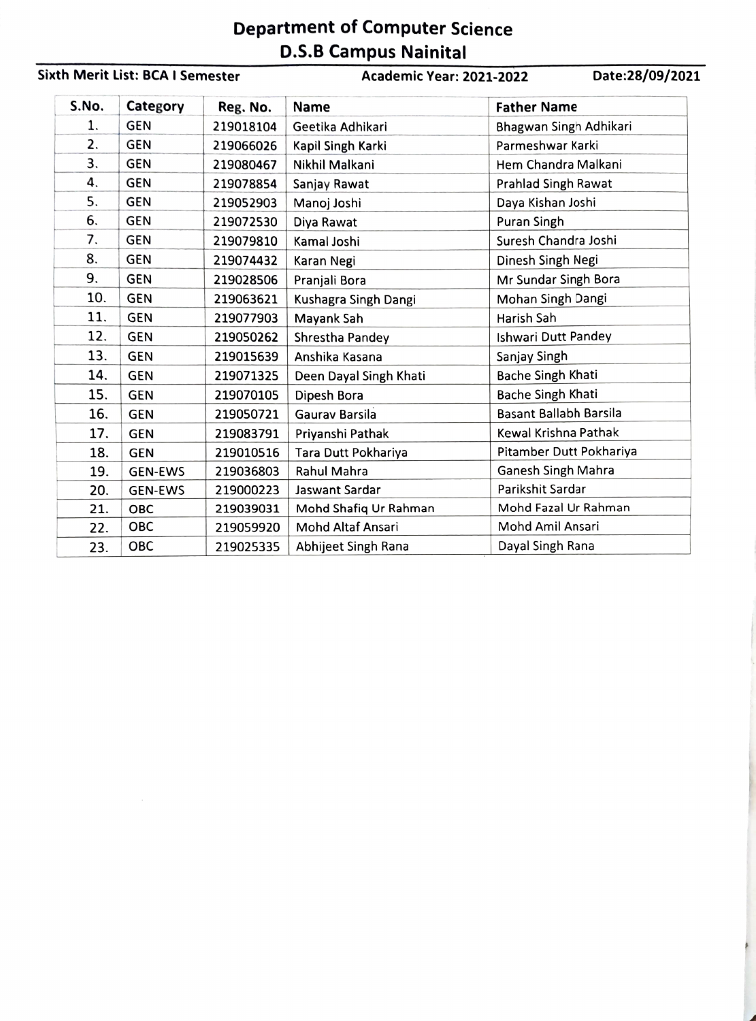## Department of Computer Science D.S.B Campus Nainital

## Sixth Merit List: BCA I Semester Academic Year: 2021-2022 Date:28/09/2021

| S.No. | Category       | Reg. No.  | <b>Name</b>            | <b>Father Name</b>            |
|-------|----------------|-----------|------------------------|-------------------------------|
| 1.    | <b>GEN</b>     | 219018104 | Geetika Adhikari       | Bhagwan Singh Adhikari        |
| 2.    | <b>GEN</b>     | 219066026 | Kapil Singh Karki      | Parmeshwar Karki              |
| З.    | <b>GEN</b>     | 219080467 | Nikhil Malkani         | Hem Chandra Malkani           |
| 4.    | <b>GEN</b>     | 219078854 | Sanjay Rawat           | Prahlad Singh Rawat           |
| 5.    | <b>GEN</b>     | 219052903 | Manoj Joshi            | Daya Kishan Joshi             |
| 6.    | <b>GEN</b>     | 219072530 | Diya Rawat             | Puran Singh                   |
| 7.    | <b>GEN</b>     | 219079810 | Kamal Joshi            | Suresh Chandra Joshi          |
| 8.    | <b>GEN</b>     | 219074432 | Karan Negi             | Dinesh Singh Negi             |
| 9.    | <b>GEN</b>     | 219028506 | Pranjali Bora          | Mr Sundar Singh Bora          |
| 10.   | <b>GEN</b>     | 219063621 | Kushagra Singh Dangi   | Mohan Singh Dangi             |
| 11.   | <b>GEN</b>     | 219077903 | Mayank Sah             | Harish Sah                    |
| 12.   | <b>GEN</b>     | 219050262 | Shrestha Pandey        | Ishwari Dutt Pandey           |
| 13.   | <b>GEN</b>     | 219015639 | Anshika Kasana         | Sanjay Singh                  |
| 14.   | <b>GEN</b>     | 219071325 | Deen Dayal Singh Khati | <b>Bache Singh Khati</b>      |
| 15.   | <b>GEN</b>     | 219070105 | Dipesh Bora            | <b>Bache Singh Khati</b>      |
| 16.   | <b>GEN</b>     | 219050721 | Gauray Barsila         | <b>Basant Ballabh Barsila</b> |
| 17.   | <b>GEN</b>     | 219083791 | Priyanshi Pathak       | Kewal Krishna Pathak          |
| 18.   | <b>GEN</b>     | 219010516 | Tara Dutt Pokhariya    | Pitamber Dutt Pokhariya       |
| 19.   | <b>GEN-EWS</b> | 219036803 | Rahul Mahra            | Ganesh Singh Mahra            |
| 20.   | <b>GEN-EWS</b> | 219000223 | Jaswant Sardar         | Parikshit Sardar              |
| 21.   | <b>OBC</b>     | 219039031 | Mohd Shafiq Ur Rahman  | Mohd Fazal Ur Rahman          |
| 22.   | <b>OBC</b>     | 219059920 | Mohd Altaf Ansari      | Mohd Amil Ansari              |
| 23.   | OBC            | 219025335 | Abhijeet Singh Rana    | Dayal Singh Rana              |